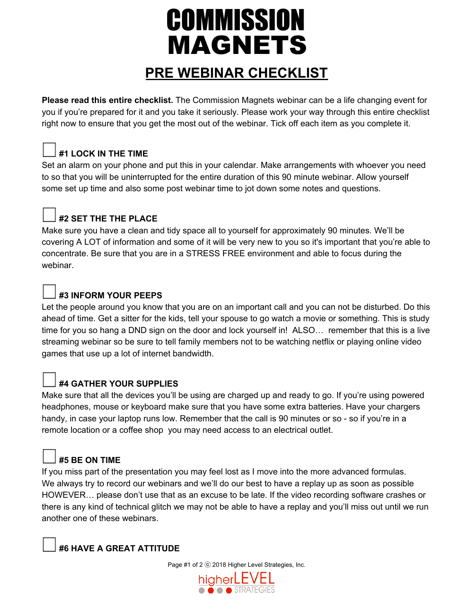# **COMMISSION MAGNETS**

### **PRE WEBINAR CHECKLIST**

**Please read this entire checklist.** The Commission Magnets webinar can be a life changing event for you if you're prepared for it and you take it seriously. Please work your way through this entire checklist right now to ensure that you get the most out of the webinar. Tick off each item as you complete it.

#### **#1 LOCK IN THE TIME**

Set an alarm on your phone and put this in your calendar. Make arrangements with whoever you need to so that you will be uninterrupted for the entire duration of this 90 minute webinar. Allow yourself some set up time and also some post webinar time to jot down some notes and questions.

### **#2 SET THE THE PLACE**

Make sure you have a clean and tidy space all to yourself for approximately 90 minutes. We'll be covering A LOT of information and some of it will be very new to you so it's important that you're able to concentrate. Be sure that you are in a STRESS FREE environment and able to focus during the webinar.

#### **#3 INFORM YOUR PEEPS**

Let the people around you know that you are on an important call and you can not be disturbed. Do this ahead of time. Get a sitter for the kids, tell your spouse to go watch a movie or something. This is study time for you so hang a DND sign on the door and lock yourself in! ALSO… remember that this is a live streaming webinar so be sure to tell family members not to be watching netflix or playing online video games that use up a lot of internet bandwidth.

#### **#4 GATHER YOUR SUPPLIES**

Make sure that all the devices you'll be using are charged up and ready to go. If you're using powered headphones, mouse or keyboard make sure that you have some extra batteries. Have your chargers handy, in case your laptop runs low. Remember that the call is 90 minutes or so - so if you're in a remote location or a coffee shop you may need access to an electrical outlet.

#### **#5 BE ON TIME**

If you miss part of the presentation you may feel lost as I move into the more advanced formulas. We always try to record our webinars and we'll do our best to have a replay up as soon as possible HOWEVER… please don't use that as an excuse to be late. If the video recording software crashes or there is any kind of technical glitch we may not be able to have a replay and you'll miss out until we run another one of these webinars.

#### **#6 HAVE A GREAT ATTITUDE**

Page #1 of 2 ⓒ 2018 Higher Level Strategies, Inc.